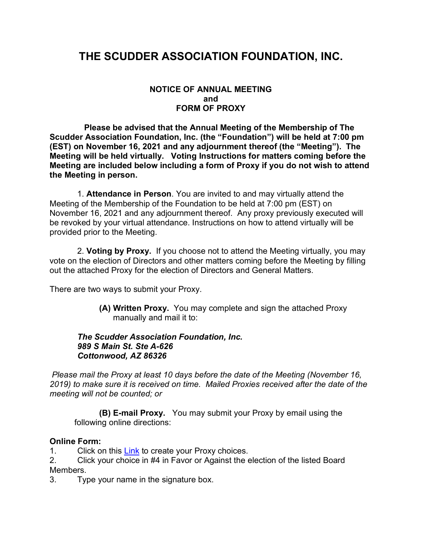## **THE SCUDDER ASSOCIATION FOUNDATION, INC.**

#### **NOTICE OF ANNUAL MEETING and FORM OF PROXY**

 **Please be advised that the Annual Meeting of the Membership of The Scudder Association Foundation, Inc. (the "Foundation") will be held at 7:00 pm (EST) on November 16, 2021 and any adjournment thereof (the "Meeting"). The Meeting will be held virtually. Voting Instructions for matters coming before the Meeting are included below including a form of Proxy if you do not wish to attend the Meeting in person.**

 1. **Attendance in Person**. You are invited to and may virtually attend the Meeting of the Membership of the Foundation to be held at 7:00 pm (EST) on November 16, 2021 and any adjournment thereof. Any proxy previously executed will be revoked by your virtual attendance. Instructions on how to attend virtually will be provided prior to the Meeting.

 2. **Voting by Proxy.** If you choose not to attend the Meeting virtually, you may vote on the election of Directors and other matters coming before the Meeting by filling out the attached Proxy for the election of Directors and General Matters.

There are two ways to submit your Proxy.

**(A) Written Proxy.** You may complete and sign the attached Proxy manually and mail it to:

### *The Scudder Association Foundation, Inc. 989 S Main St. Ste A-626 Cottonwood, AZ 86326*

*Please mail the Proxy at least 10 days before the date of the Meeting (November 16, 2019) to make sure it is received on time. Mailed Proxies received after the date of the meeting will not be counted; or*

**(B) E-mail Proxy.** You may submit your Proxy by email using the following online directions:

### **Online Form:**

1. Click on this [Link](https://scudder.org/proxy-voting-2021/) to create your Proxy choices.

2. Click your choice in #4 in Favor or Against the election of the listed Board Members.

3. Type your name in the signature box.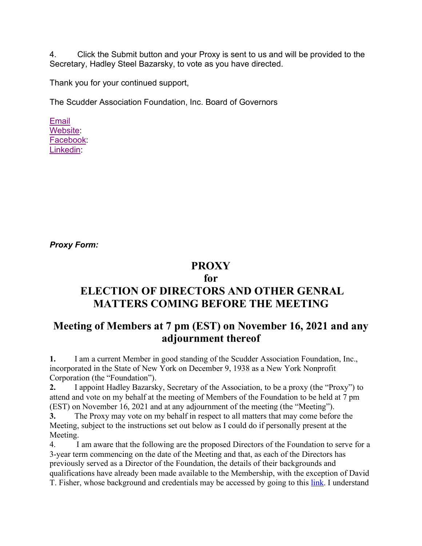4. Click the Submit button and your Proxy is sent to us and will be provided to the Secretary, Hadley Steel Bazarsky, to vote as you have directed.

Thank you for your continued support,

The Scudder Association Foundation, Inc. Board of Governors

[Email](mailto:%20info@scudder.org) [Website:](http://click.icptrack.com/icp/relay.php?r=22534775&msgid=106661&act=SGW1&c=1643523&destination=http%3A%2F%2Fscudder.org) [Facebook:](http://click.icptrack.com/icp/relay.php?r=22534775&msgid=106661&act=SGW1&c=1643523&destination=http%3A%2F%2Ffacebook.com%2Fscudder.org) [Linkedin:](http://click.icptrack.com/icp/relay.php?r=22534775&msgid=106661&act=SGW1&c=1643523&destination=https%3A%2F%2Fwww.linkedin.com%2Fcompany%2Fscudder-association%3Ftrk%3Dtop_nav_home)

*Proxy Form:*

### **PROXY**

### **for**

# **ELECTION OF DIRECTORS AND OTHER GENRAL MATTERS COMING BEFORE THE MEETING**

## **Meeting of Members at 7 pm (EST) on November 16, 2021 and any adjournment thereof**

**1.** I am a current Member in good standing of the Scudder Association Foundation, Inc., incorporated in the State of New York on December 9, 1938 as a New York Nonprofit Corporation (the "Foundation").

**2.** I appoint Hadley Bazarsky, Secretary of the Association, to be a proxy (the "Proxy") to attend and vote on my behalf at the meeting of Members of the Foundation to be held at 7 pm (EST) on November 16, 2021 and at any adjournment of the meeting (the "Meeting").

**3.** The Proxy may vote on my behalf in respect to all matters that may come before the Meeting, subject to the instructions set out below as I could do if personally present at the Meeting.

4. I am aware that the following are the proposed Directors of the Foundation to serve for a 3-year term commencing on the date of the Meeting and that, as each of the Directors has previously served as a Director of the Foundation, the details of their backgrounds and qualifications have already been made available to the Membership, with the exception of David T. Fisher, whose background and credentials may be accessed by going to this [link.](https://scudder.org/DavidFisherBio) I understand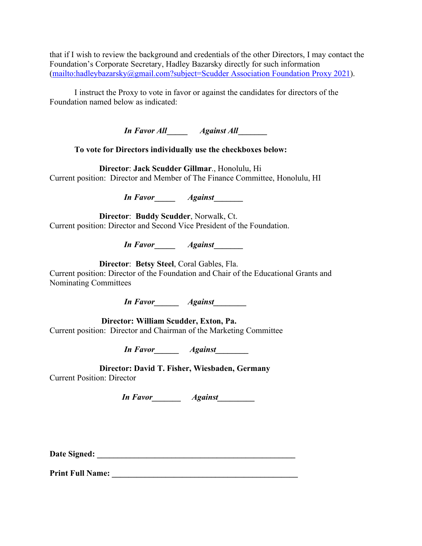that if I wish to review the background and credentials of the other Directors, I may contact the Foundation's Corporate Secretary, Hadley Bazarsky directly for such information [\(mailto:hadleybazarsky@gmail.com?subject=Scudder Association Foundation Proxy 2021\)](mailto:hadleybazarsky@gmail.com?subject=Scudder%20Association%20Foundation%20Proxy%202021).

I instruct the Proxy to vote in favor or against the candidates for directors of the Foundation named below as indicated:

*In Favor All***\_\_\_\_\_** *Against All***\_\_\_\_\_\_\_**

**To vote for Directors individually use the checkboxes below:**

 **Director**: **Jack Scudder Gillmar**., Honolulu, Hi Current position: Director and Member of The Finance Committee, Honolulu, HI

*In Favor***\_\_\_\_\_** *Against***\_\_\_\_\_\_\_**

 **Director**: **Buddy Scudder**, Norwalk, Ct. Current position: Director and Second Vice President of the Foundation.

*In Favor***\_\_\_\_\_** *Against***\_\_\_\_\_\_\_**

**Director**: **Betsy Steel**, Coral Gables, Fla.

Current position: Director of the Foundation and Chair of the Educational Grants and Nominating Committees

*In Favor\_\_\_\_\_\_ Against\_\_\_\_\_\_\_\_*

 **Director: William Scudder, Exton, Pa.** Current position: Director and Chairman of the Marketing Committee

*In Favor\_\_\_\_\_\_ Against\_\_\_\_\_\_\_\_*

**Director: David T. Fisher, Wiesbaden, Germany** Current Position: Director

*In Favor\_\_\_\_\_\_\_ Against\_\_\_\_\_\_\_\_\_*

**Date Signed: \_\_\_\_\_\_\_\_\_\_\_\_\_\_\_\_\_\_\_\_\_\_\_\_\_\_\_\_\_\_\_\_\_\_\_\_\_\_\_\_\_\_\_\_\_\_\_\_**

**Print Full Name: \_\_\_\_\_\_\_\_\_\_\_\_\_\_\_\_\_\_\_\_\_\_\_\_\_\_\_\_\_\_\_\_\_\_\_\_\_\_\_\_\_\_\_\_\_**